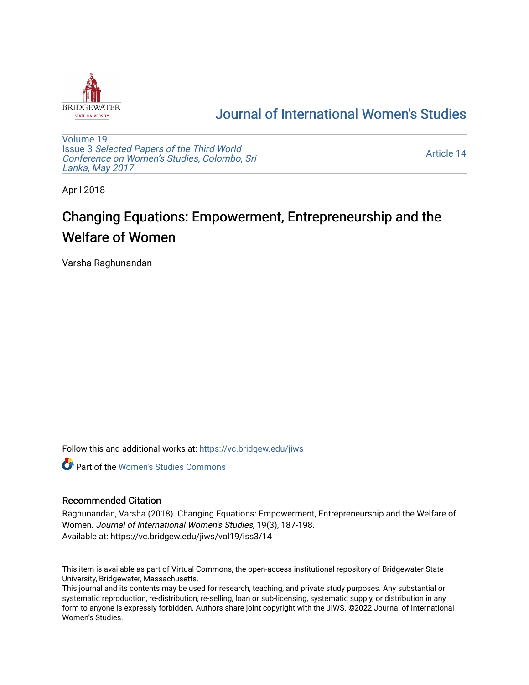

## [Journal of International Women's Studies](https://vc.bridgew.edu/jiws)

[Volume 19](https://vc.bridgew.edu/jiws/vol19) Issue 3 [Selected Papers of the Third World](https://vc.bridgew.edu/jiws/vol19/iss3) [Conference on Women's Studies, Colombo, Sri](https://vc.bridgew.edu/jiws/vol19/iss3)  [Lanka, May 2017](https://vc.bridgew.edu/jiws/vol19/iss3) 

[Article 14](https://vc.bridgew.edu/jiws/vol19/iss3/14) 

April 2018

# Changing Equations: Empowerment, Entrepreneurship and the Welfare of Women

Varsha Raghunandan

Follow this and additional works at: [https://vc.bridgew.edu/jiws](https://vc.bridgew.edu/jiws?utm_source=vc.bridgew.edu%2Fjiws%2Fvol19%2Fiss3%2F14&utm_medium=PDF&utm_campaign=PDFCoverPages)

**C** Part of the Women's Studies Commons

#### Recommended Citation

Raghunandan, Varsha (2018). Changing Equations: Empowerment, Entrepreneurship and the Welfare of Women. Journal of International Women's Studies, 19(3), 187-198. Available at: https://vc.bridgew.edu/jiws/vol19/iss3/14

This item is available as part of Virtual Commons, the open-access institutional repository of Bridgewater State University, Bridgewater, Massachusetts.

This journal and its contents may be used for research, teaching, and private study purposes. Any substantial or systematic reproduction, re-distribution, re-selling, loan or sub-licensing, systematic supply, or distribution in any form to anyone is expressly forbidden. Authors share joint copyright with the JIWS. ©2022 Journal of International Women's Studies.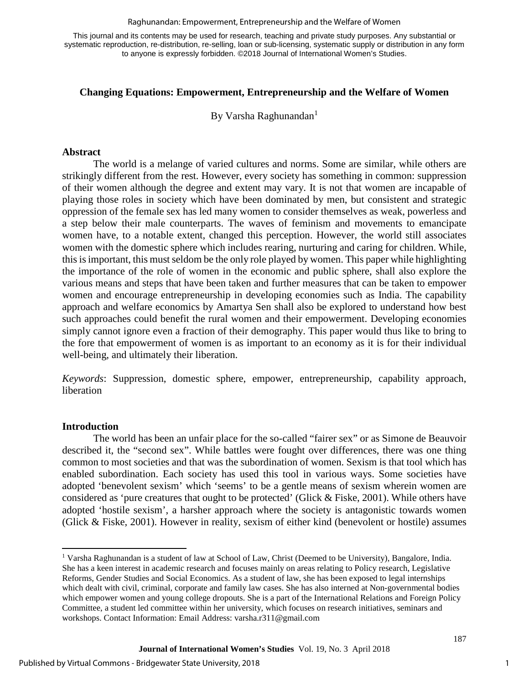#### Raghunandan: Empowerment, Entrepreneurship and the Welfare of Women

This journal and its contents may be used for research, teaching and private study purposes. Any substantial or systematic reproduction, re-distribution, re-selling, loan or sub-licensing, systematic supply or distribution in any form to anyone is expressly forbidden. ©2018 Journal of International Women's Studies.

#### **Changing Equations: Empowerment, Entrepreneurship and the Welfare of Women**

By Varsha Raghunandan<sup>1</sup>

#### **Abstract**

The world is a melange of varied cultures and norms. Some are similar, while others are strikingly different from the rest. However, every society has something in common: suppression of their women although the degree and extent may vary. It is not that women are incapable of playing those roles in society which have been dominated by men, but consistent and strategic oppression of the female sex has led many women to consider themselves as weak, powerless and a step below their male counterparts. The waves of feminism and movements to emancipate women have, to a notable extent, changed this perception. However, the world still associates women with the domestic sphere which includes rearing, nurturing and caring for children. While, this is important, this must seldom be the only role played by women. This paper while highlighting the importance of the role of women in the economic and public sphere, shall also explore the various means and steps that have been taken and further measures that can be taken to empower women and encourage entrepreneurship in developing economies such as India. The capability approach and welfare economics by Amartya Sen shall also be explored to understand how best such approaches could benefit the rural women and their empowerment. Developing economies simply cannot ignore even a fraction of their demography. This paper would thus like to bring to the fore that empowerment of women is as important to an economy as it is for their individual well-being, and ultimately their liberation.

*Keywords*: Suppression, domestic sphere, empower, entrepreneurship, capability approach, liberation

#### **Introduction**

l

The world has been an unfair place for the so-called "fairer sex" or as Simone de Beauvoir described it, the "second sex". While battles were fought over differences, there was one thing common to most societies and that was the subordination of women. Sexism is that tool which has enabled subordination. Each society has used this tool in various ways. Some societies have adopted 'benevolent sexism' which 'seems' to be a gentle means of sexism wherein women are considered as 'pure creatures that ought to be protected' (Glick & Fiske, 2001). While others have adopted 'hostile sexism', a harsher approach where the society is antagonistic towards women (Glick & Fiske, 2001). However in reality, sexism of either kind (benevolent or hostile) assumes

<sup>1</sup> Varsha Raghunandan is a student of law at School of Law, Christ (Deemed to be University), Bangalore, India. She has a keen interest in academic research and focuses mainly on areas relating to Policy research, Legislative Reforms, Gender Studies and Social Economics. As a student of law, she has been exposed to legal internships which dealt with civil, criminal, corporate and family law cases. She has also interned at Non-governmental bodies which empower women and young college dropouts. She is a part of the International Relations and Foreign Policy Committee, a student led committee within her university, which focuses on research initiatives, seminars and workshops. Contact Information: Email Address: varsha.r311@gmail.com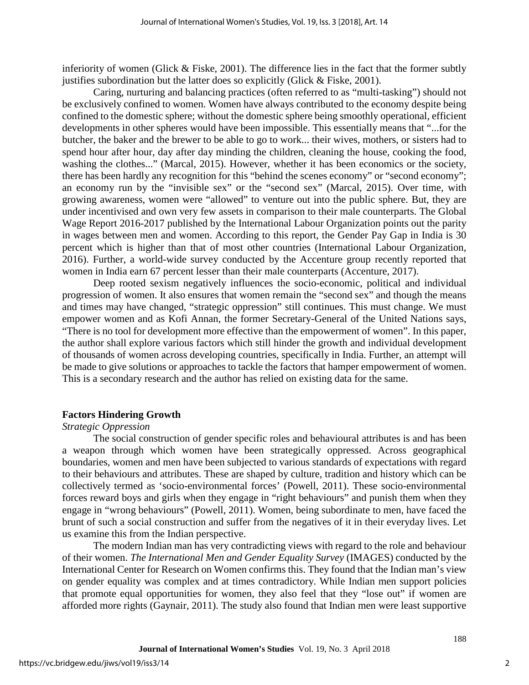inferiority of women (Glick  $\&$  Fiske, 2001). The difference lies in the fact that the former subtly justifies subordination but the latter does so explicitly (Glick  $&$  Fiske, 2001).

Caring, nurturing and balancing practices (often referred to as "multi-tasking") should not be exclusively confined to women. Women have always contributed to the economy despite being confined to the domestic sphere; without the domestic sphere being smoothly operational, efficient developments in other spheres would have been impossible. This essentially means that "...for the butcher, the baker and the brewer to be able to go to work... their wives, mothers, or sisters had to spend hour after hour, day after day minding the children, cleaning the house, cooking the food, washing the clothes..." (Marcal, 2015). However, whether it has been economics or the society, there has been hardly any recognition for this "behind the scenes economy" or "second economy"; an economy run by the "invisible sex" or the "second sex" (Marcal, 2015). Over time, with growing awareness, women were "allowed" to venture out into the public sphere. But, they are under incentivised and own very few assets in comparison to their male counterparts. The Global Wage Report 2016-2017 published by the International Labour Organization points out the parity in wages between men and women. According to this report, the Gender Pay Gap in India is 30 percent which is higher than that of most other countries (International Labour Organization, 2016). Further, a world-wide survey conducted by the Accenture group recently reported that women in India earn 67 percent lesser than their male counterparts (Accenture, 2017).

Deep rooted sexism negatively influences the socio-economic, political and individual progression of women. It also ensures that women remain the "second sex" and though the means and times may have changed, "strategic oppression" still continues. This must change. We must empower women and as Kofi Annan, the former Secretary-General of the United Nations says, "There is no tool for development more effective than the empowerment of women". In this paper, the author shall explore various factors which still hinder the growth and individual development of thousands of women across developing countries, specifically in India. Further, an attempt will be made to give solutions or approaches to tackle the factors that hamper empowerment of women. This is a secondary research and the author has relied on existing data for the same.

#### **Factors Hindering Growth**

#### *Strategic Oppression*

The social construction of gender specific roles and behavioural attributes is and has been a weapon through which women have been strategically oppressed. Across geographical boundaries, women and men have been subjected to various standards of expectations with regard to their behaviours and attributes. These are shaped by culture, tradition and history which can be collectively termed as 'socio-environmental forces' (Powell, 2011). These socio-environmental forces reward boys and girls when they engage in "right behaviours" and punish them when they engage in "wrong behaviours" (Powell, 2011). Women, being subordinate to men, have faced the brunt of such a social construction and suffer from the negatives of it in their everyday lives. Let us examine this from the Indian perspective.

The modern Indian man has very contradicting views with regard to the role and behaviour of their women. *The International Men and Gender Equality Survey* (IMAGES) conducted by the International Center for Research on Women confirms this. They found that the Indian man's view on gender equality was complex and at times contradictory. While Indian men support policies that promote equal opportunities for women, they also feel that they "lose out" if women are afforded more rights (Gaynair, 2011). The study also found that Indian men were least supportive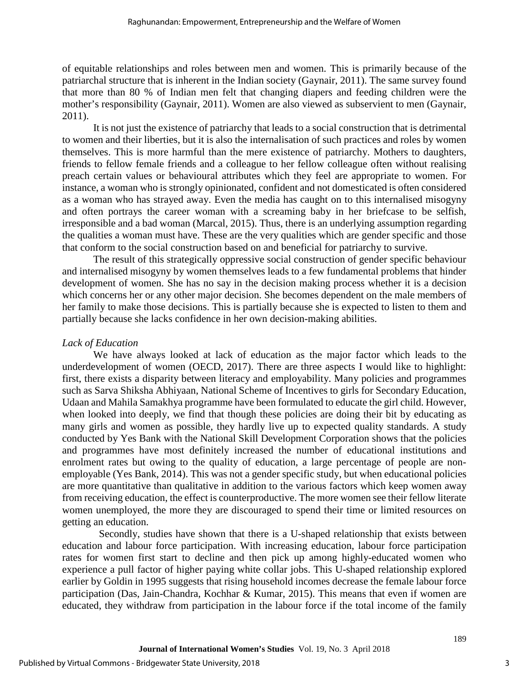of equitable relationships and roles between men and women. This is primarily because of the patriarchal structure that is inherent in the Indian society (Gaynair, 2011). The same survey found that more than 80 % of Indian men felt that changing diapers and feeding children were the mother's responsibility (Gaynair, 2011). Women are also viewed as subservient to men (Gaynair, 2011).

It is not just the existence of patriarchy that leads to a social construction that is detrimental to women and their liberties, but it is also the internalisation of such practices and roles by women themselves. This is more harmful than the mere existence of patriarchy. Mothers to daughters, friends to fellow female friends and a colleague to her fellow colleague often without realising preach certain values or behavioural attributes which they feel are appropriate to women. For instance, a woman who is strongly opinionated, confident and not domesticated is often considered as a woman who has strayed away. Even the media has caught on to this internalised misogyny and often portrays the career woman with a screaming baby in her briefcase to be selfish, irresponsible and a bad woman (Marcal, 2015). Thus, there is an underlying assumption regarding the qualities a woman must have. These are the very qualities which are gender specific and those that conform to the social construction based on and beneficial for patriarchy to survive.

The result of this strategically oppressive social construction of gender specific behaviour and internalised misogyny by women themselves leads to a few fundamental problems that hinder development of women. She has no say in the decision making process whether it is a decision which concerns her or any other major decision. She becomes dependent on the male members of her family to make those decisions. This is partially because she is expected to listen to them and partially because she lacks confidence in her own decision-making abilities.

#### *Lack of Education*

We have always looked at lack of education as the major factor which leads to the underdevelopment of women (OECD, 2017). There are three aspects I would like to highlight: first, there exists a disparity between literacy and employability. Many policies and programmes such as Sarva Shiksha Abhiyaan, National Scheme of Incentives to girls for Secondary Education, Udaan and Mahila Samakhya programme have been formulated to educate the girl child. However, when looked into deeply, we find that though these policies are doing their bit by educating as many girls and women as possible, they hardly live up to expected quality standards. A study conducted by Yes Bank with the National Skill Development Corporation shows that the policies and programmes have most definitely increased the number of educational institutions and enrolment rates but owing to the quality of education, a large percentage of people are nonemployable (Yes Bank, 2014). This was not a gender specific study, but when educational policies are more quantitative than qualitative in addition to the various factors which keep women away from receiving education, the effect is counterproductive. The more women see their fellow literate women unemployed, the more they are discouraged to spend their time or limited resources on getting an education.

Secondly, studies have shown that there is a U-shaped relationship that exists between education and labour force participation. With increasing education, labour force participation rates for women first start to decline and then pick up among highly-educated women who experience a pull factor of higher paying white collar jobs. This U-shaped relationship explored earlier by Goldin in 1995 suggests that rising household incomes decrease the female labour force participation (Das, Jain-Chandra, Kochhar & Kumar, 2015). This means that even if women are educated, they withdraw from participation in the labour force if the total income of the family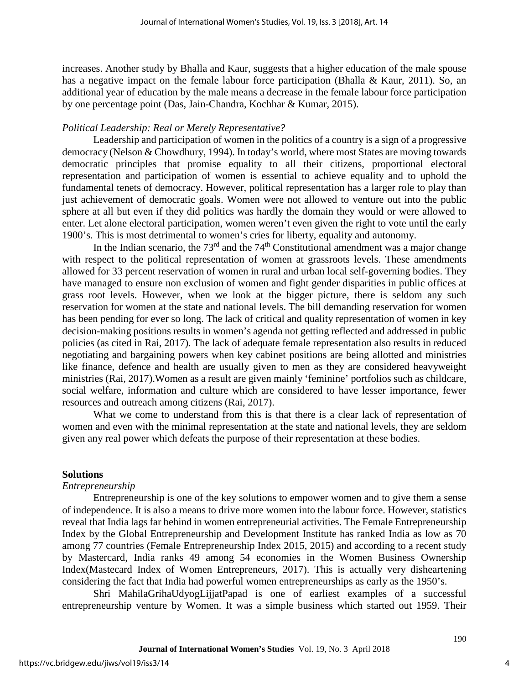increases. Another study by Bhalla and Kaur, suggests that a higher education of the male spouse has a negative impact on the female labour force participation (Bhalla & Kaur, 2011). So, an additional year of education by the male means a decrease in the female labour force participation by one percentage point (Das, Jain-Chandra, Kochhar & Kumar, 2015).

#### *Political Leadership: Real or Merely Representative?*

Leadership and participation of women in the politics of a country is a sign of a progressive democracy (Nelson & Chowdhury, 1994). In today's world, where most States are moving towards democratic principles that promise equality to all their citizens, proportional electoral representation and participation of women is essential to achieve equality and to uphold the fundamental tenets of democracy. However, political representation has a larger role to play than just achievement of democratic goals. Women were not allowed to venture out into the public sphere at all but even if they did politics was hardly the domain they would or were allowed to enter. Let alone electoral participation, women weren't even given the right to vote until the early 1900's. This is most detrimental to women's cries for liberty, equality and autonomy.

In the Indian scenario, the  $73<sup>rd</sup>$  and the  $74<sup>th</sup>$  Constitutional amendment was a major change with respect to the political representation of women at grassroots levels. These amendments allowed for 33 percent reservation of women in rural and urban local self-governing bodies. They have managed to ensure non exclusion of women and fight gender disparities in public offices at grass root levels. However, when we look at the bigger picture, there is seldom any such reservation for women at the state and national levels. The bill demanding reservation for women has been pending for ever so long. The lack of critical and quality representation of women in key decision-making positions results in women's agenda not getting reflected and addressed in public policies (as cited in Rai, 2017). The lack of adequate female representation also results in reduced negotiating and bargaining powers when key cabinet positions are being allotted and ministries like finance, defence and health are usually given to men as they are considered heavyweight ministries (Rai, 2017).Women as a result are given mainly 'feminine' portfolios such as childcare, social welfare, information and culture which are considered to have lesser importance, fewer resources and outreach among citizens (Rai, 2017).

What we come to understand from this is that there is a clear lack of representation of women and even with the minimal representation at the state and national levels, they are seldom given any real power which defeats the purpose of their representation at these bodies.

#### **Solutions**

#### *Entrepreneurship*

Entrepreneurship is one of the key solutions to empower women and to give them a sense of independence. It is also a means to drive more women into the labour force. However, statistics reveal that India lags far behind in women entrepreneurial activities. The Female Entrepreneurship Index by the Global Entrepreneurship and Development Institute has ranked India as low as 70 among 77 countries (Female Entrepreneurship Index 2015, 2015) and according to a recent study by Mastercard, India ranks 49 among 54 economies in the Women Business Ownership Index(Mastecard Index of Women Entrepreneurs, 2017). This is actually very disheartening considering the fact that India had powerful women entrepreneurships as early as the 1950's.

Shri MahilaGrihaUdyogLijjatPapad is one of earliest examples of a successful entrepreneurship venture by Women. It was a simple business which started out 1959. Their

4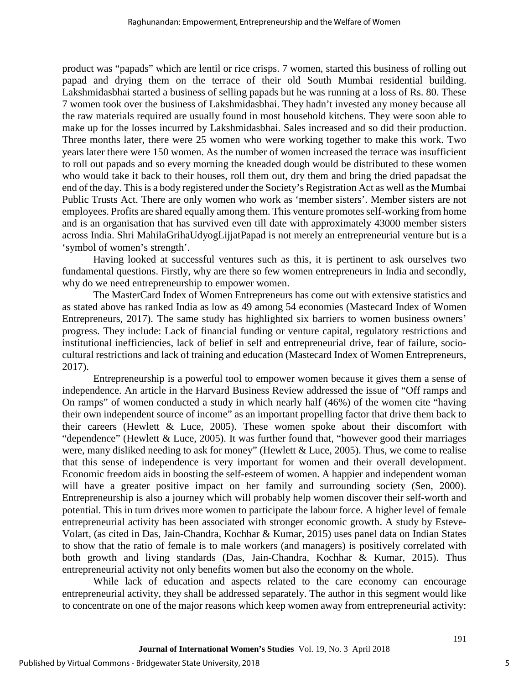product was "papads" which are lentil or rice crisps. 7 women, started this business of rolling out papad and drying them on the terrace of their old South Mumbai residential building. Lakshmidasbhai started a business of selling papads but he was running at a loss of Rs. 80. These 7 women took over the business of Lakshmidasbhai. They hadn't invested any money because all the raw materials required are usually found in most household kitchens. They were soon able to make up for the losses incurred by Lakshmidasbhai. Sales increased and so did their production. Three months later, there were 25 women who were working together to make this work. Two years later there were 150 women. As the number of women increased the terrace was insufficient to roll out papads and so every morning the kneaded dough would be distributed to these women who would take it back to their houses, roll them out, dry them and bring the dried papadsat the end of the day. This is a body registered under the Society's Registration Act as well as the Mumbai Public Trusts Act. There are only women who work as 'member sisters'. Member sisters are not employees. Profits are shared equally among them. This venture promotes self-working from home and is an organisation that has survived even till date with approximately 43000 member sisters across India. Shri MahilaGrihaUdyogLijjatPapad is not merely an entrepreneurial venture but is a 'symbol of women's strength'.

Having looked at successful ventures such as this, it is pertinent to ask ourselves two fundamental questions. Firstly, why are there so few women entrepreneurs in India and secondly, why do we need entrepreneurship to empower women.

The MasterCard Index of Women Entrepreneurs has come out with extensive statistics and as stated above has ranked India as low as 49 among 54 economies (Mastecard Index of Women Entrepreneurs, 2017). The same study has highlighted six barriers to women business owners' progress. They include: Lack of financial funding or venture capital, regulatory restrictions and institutional inefficiencies, lack of belief in self and entrepreneurial drive, fear of failure, sociocultural restrictions and lack of training and education (Mastecard Index of Women Entrepreneurs, 2017).

Entrepreneurship is a powerful tool to empower women because it gives them a sense of independence. An article in the Harvard Business Review addressed the issue of "Off ramps and On ramps" of women conducted a study in which nearly half (46%) of the women cite "having their own independent source of income" as an important propelling factor that drive them back to their careers (Hewlett  $\&$  Luce, 2005). These women spoke about their discomfort with "dependence" (Hewlett & Luce, 2005). It was further found that, "however good their marriages were, many disliked needing to ask for money" (Hewlett & Luce, 2005). Thus, we come to realise that this sense of independence is very important for women and their overall development. Economic freedom aids in boosting the self-esteem of women. A happier and independent woman will have a greater positive impact on her family and surrounding society (Sen, 2000). Entrepreneurship is also a journey which will probably help women discover their self-worth and potential. This in turn drives more women to participate the labour force. A higher level of female entrepreneurial activity has been associated with stronger economic growth. A study by Esteve-Volart, (as cited in Das, Jain-Chandra, Kochhar & Kumar, 2015) uses panel data on Indian States to show that the ratio of female is to male workers (and managers) is positively correlated with both growth and living standards (Das, Jain-Chandra, Kochhar & Kumar, 2015). Thus entrepreneurial activity not only benefits women but also the economy on the whole.

While lack of education and aspects related to the care economy can encourage entrepreneurial activity, they shall be addressed separately. The author in this segment would like to concentrate on one of the major reasons which keep women away from entrepreneurial activity: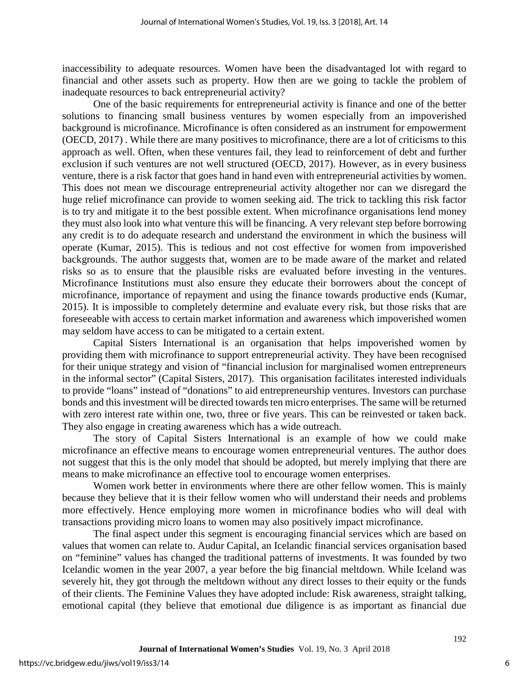inaccessibility to adequate resources. Women have been the disadvantaged lot with regard to financial and other assets such as property. How then are we going to tackle the problem of inadequate resources to back entrepreneurial activity?

One of the basic requirements for entrepreneurial activity is finance and one of the better solutions to financing small business ventures by women especially from an impoverished background is microfinance. Microfinance is often considered as an instrument for empowerment (OECD, 2017) . While there are many positives to microfinance, there are a lot of criticisms to this approach as well. Often, when these ventures fail, they lead to reinforcement of debt and further exclusion if such ventures are not well structured (OECD, 2017). However, as in every business venture, there is a risk factor that goes hand in hand even with entrepreneurial activities by women. This does not mean we discourage entrepreneurial activity altogether nor can we disregard the huge relief microfinance can provide to women seeking aid. The trick to tackling this risk factor is to try and mitigate it to the best possible extent. When microfinance organisations lend money they must also look into what venture this will be financing. A very relevant step before borrowing any credit is to do adequate research and understand the environment in which the business will operate (Kumar, 2015). This is tedious and not cost effective for women from impoverished backgrounds. The author suggests that, women are to be made aware of the market and related risks so as to ensure that the plausible risks are evaluated before investing in the ventures. Microfinance Institutions must also ensure they educate their borrowers about the concept of microfinance, importance of repayment and using the finance towards productive ends (Kumar, 2015). It is impossible to completely determine and evaluate every risk, but those risks that are foreseeable with access to certain market information and awareness which impoverished women may seldom have access to can be mitigated to a certain extent.

Capital Sisters International is an organisation that helps impoverished women by providing them with microfinance to support entrepreneurial activity. They have been recognised for their unique strategy and vision of "financial inclusion for marginalised women entrepreneurs in the informal sector" (Capital Sisters, 2017). This organisation facilitates interested individuals to provide "loans" instead of "donations" to aid entrepreneurship ventures. Investors can purchase bonds and this investment will be directed towards ten micro enterprises. The same will be returned with zero interest rate within one, two, three or five years. This can be reinvested or taken back. They also engage in creating awareness which has a wide outreach.

The story of Capital Sisters International is an example of how we could make microfinance an effective means to encourage women entrepreneurial ventures. The author does not suggest that this is the only model that should be adopted, but merely implying that there are means to make microfinance an effective tool to encourage women enterprises.

Women work better in environments where there are other fellow women. This is mainly because they believe that it is their fellow women who will understand their needs and problems more effectively. Hence employing more women in microfinance bodies who will deal with transactions providing micro loans to women may also positively impact microfinance.

The final aspect under this segment is encouraging financial services which are based on values that women can relate to. Audur Capital, an Icelandic financial services organisation based on "feminine" values has changed the traditional patterns of investments. It was founded by two Icelandic women in the year 2007, a year before the big financial meltdown. While Iceland was severely hit, they got through the meltdown without any direct losses to their equity or the funds of their clients. The Feminine Values they have adopted include: Risk awareness, straight talking, emotional capital (they believe that emotional due diligence is as important as financial due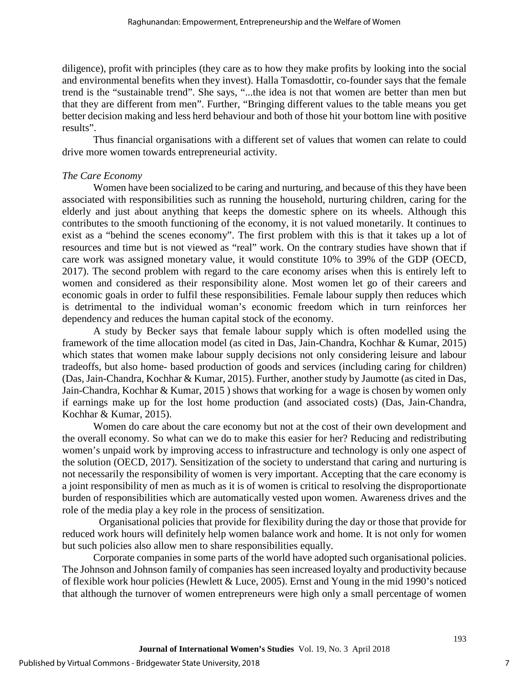diligence), profit with principles (they care as to how they make profits by looking into the social and environmental benefits when they invest). Halla Tomasdottir, co-founder says that the female trend is the "sustainable trend". She says, "...the idea is not that women are better than men but that they are different from men". Further, "Bringing different values to the table means you get better decision making and less herd behaviour and both of those hit your bottom line with positive results".

Thus financial organisations with a different set of values that women can relate to could drive more women towards entrepreneurial activity.

#### *The Care Economy*

Women have been socialized to be caring and nurturing, and because of this they have been associated with responsibilities such as running the household, nurturing children, caring for the elderly and just about anything that keeps the domestic sphere on its wheels. Although this contributes to the smooth functioning of the economy, it is not valued monetarily. It continues to exist as a "behind the scenes economy". The first problem with this is that it takes up a lot of resources and time but is not viewed as "real" work. On the contrary studies have shown that if care work was assigned monetary value, it would constitute 10% to 39% of the GDP (OECD, 2017). The second problem with regard to the care economy arises when this is entirely left to women and considered as their responsibility alone. Most women let go of their careers and economic goals in order to fulfil these responsibilities. Female labour supply then reduces which is detrimental to the individual woman's economic freedom which in turn reinforces her dependency and reduces the human capital stock of the economy.

A study by Becker says that female labour supply which is often modelled using the framework of the time allocation model (as cited in Das, Jain-Chandra, Kochhar & Kumar, 2015) which states that women make labour supply decisions not only considering leisure and labour tradeoffs, but also home- based production of goods and services (including caring for children) (Das, Jain-Chandra, Kochhar & Kumar, 2015). Further, another study by Jaumotte (as cited in Das, Jain-Chandra, Kochhar & Kumar, 2015 ) shows that working for a wage is chosen by women only if earnings make up for the lost home production (and associated costs) (Das, Jain-Chandra, Kochhar & Kumar, 2015).

Women do care about the care economy but not at the cost of their own development and the overall economy. So what can we do to make this easier for her? Reducing and redistributing women's unpaid work by improving access to infrastructure and technology is only one aspect of the solution (OECD, 2017). Sensitization of the society to understand that caring and nurturing is not necessarily the responsibility of women is very important. Accepting that the care economy is a joint responsibility of men as much as it is of women is critical to resolving the disproportionate burden of responsibilities which are automatically vested upon women. Awareness drives and the role of the media play a key role in the process of sensitization.

Organisational policies that provide for flexibility during the day or those that provide for reduced work hours will definitely help women balance work and home. It is not only for women but such policies also allow men to share responsibilities equally.

Corporate companies in some parts of the world have adopted such organisational policies. The Johnson and Johnson family of companies has seen increased loyalty and productivity because of flexible work hour policies (Hewlett & Luce, 2005). Ernst and Young in the mid 1990's noticed that although the turnover of women entrepreneurs were high only a small percentage of women

7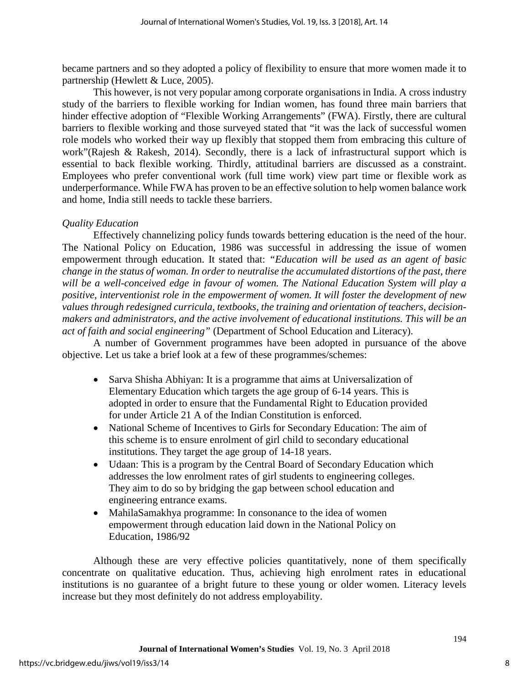became partners and so they adopted a policy of flexibility to ensure that more women made it to partnership (Hewlett & Luce, 2005).

This however, is not very popular among corporate organisations in India. A cross industry study of the barriers to flexible working for Indian women, has found three main barriers that hinder effective adoption of "Flexible Working Arrangements" (FWA). Firstly, there are cultural barriers to flexible working and those surveyed stated that "it was the lack of successful women role models who worked their way up flexibly that stopped them from embracing this culture of work"(Rajesh & Rakesh, 2014). Secondly, there is a lack of infrastructural support which is essential to back flexible working. Thirdly, attitudinal barriers are discussed as a constraint. Employees who prefer conventional work (full time work) view part time or flexible work as underperformance. While FWA has proven to be an effective solution to help women balance work and home, India still needs to tackle these barriers.

### *Quality Education*

Effectively channelizing policy funds towards bettering education is the need of the hour. The National Policy on Education, 1986 was successful in addressing the issue of women empowerment through education. It stated that: *"Education will be used as an agent of basic change in the status of woman. In order to neutralise the accumulated distortions of the past, there will be a well-conceived edge in favour of women. The National Education System will play a positive, interventionist role in the empowerment of women. It will foster the development of new values through redesigned curricula, textbooks, the training and orientation of teachers, decisionmakers and administrators, and the active involvement of educational institutions. This will be an act of faith and social engineering"* (Department of School Education and Literacy).

A number of Government programmes have been adopted in pursuance of the above objective. Let us take a brief look at a few of these programmes/schemes:

- Sarva Shisha Abhiyan: It is a programme that aims at Universalization of Elementary Education which targets the age group of 6-14 years. This is adopted in order to ensure that the Fundamental Right to Education provided for under Article 21 A of the Indian Constitution is enforced.
- National Scheme of Incentives to Girls for Secondary Education: The aim of this scheme is to ensure enrolment of girl child to secondary educational institutions. They target the age group of 14-18 years.
- Udaan: This is a program by the Central Board of Secondary Education which addresses the low enrolment rates of girl students to engineering colleges. They aim to do so by bridging the gap between school education and engineering entrance exams.
- MahilaSamakhya programme: In consonance to the idea of women empowerment through education laid down in the National Policy on Education, 1986/92

Although these are very effective policies quantitatively, none of them specifically concentrate on qualitative education. Thus, achieving high enrolment rates in educational institutions is no guarantee of a bright future to these young or older women. Literacy levels increase but they most definitely do not address employability.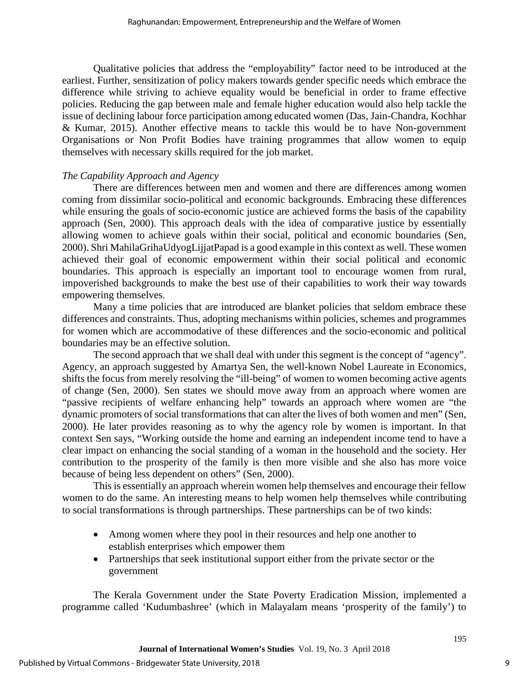Qualitative policies that address the "employability" factor need to be introduced at the earliest. Further, sensitization of policy makers towards gender specific needs which embrace the difference while striving to achieve equality would be beneficial in order to frame effective policies. Reducing the gap between male and female higher education would also help tackle the issue of declining labour force participation among educated women (Das, Jain-Chandra, Kochhar & Kumar, 2015). Another effective means to tackle this would be to have Non-government Organisations or Non Profit Bodies have training programmes that allow women to equip themselves with necessary skills required for the job market.

#### *The Capability Approach and Agency*

There are differences between men and women and there are differences among women coming from dissimilar socio-political and economic backgrounds. Embracing these differences while ensuring the goals of socio-economic justice are achieved forms the basis of the capability approach (Sen, 2000). This approach deals with the idea of comparative justice by essentially allowing women to achieve goals within their social, political and economic boundaries (Sen, 2000). Shri MahilaGrihaUdyogLijjatPapad is a good example in this context as well. These women achieved their goal of economic empowerment within their social political and economic boundaries. This approach is especially an important tool to encourage women from rural, impoverished backgrounds to make the best use of their capabilities to work their way towards empowering themselves.

Many a time policies that are introduced are blanket policies that seldom embrace these differences and constraints. Thus, adopting mechanisms within policies, schemes and programmes for women which are accommodative of these differences and the socio-economic and political boundaries may be an effective solution.

The second approach that we shall deal with under this segment is the concept of "agency". Agency, an approach suggested by Amartya Sen, the well-known Nobel Laureate in Economics, shifts the focus from merely resolving the "ill-being" of women to women becoming active agents of change (Sen, 2000). Sen states we should move away from an approach where women are "passive recipients of welfare enhancing help" towards an approach where women are "the dynamic promoters of social transformations that can alter the lives of both women and men" (Sen, 2000). He later provides reasoning as to why the agency role by women is important. In that context Sen says, "Working outside the home and earning an independent income tend to have a clear impact on enhancing the social standing of a woman in the household and the society. Her contribution to the prosperity of the family is then more visible and she also has more voice because of being less dependent on others" (Sen, 2000).

This is essentially an approach wherein women help themselves and encourage their fellow women to do the same. An interesting means to help women help themselves while contributing to social transformations is through partnerships. These partnerships can be of two kinds:

- Among women where they pool in their resources and help one another to establish enterprises which empower them
- Partnerships that seek institutional support either from the private sector or the government

The Kerala Government under the State Poverty Eradication Mission, implemented a programme called 'Kudumbashree' (which in Malayalam means 'prosperity of the family') to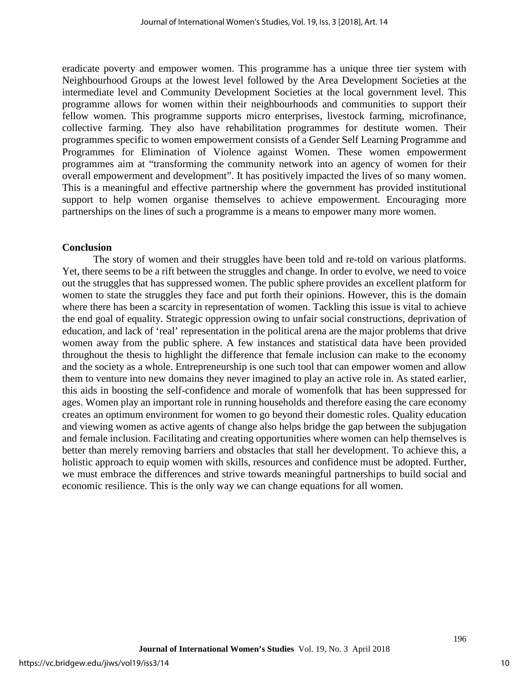eradicate poverty and empower women. This programme has a unique three tier system with Neighbourhood Groups at the lowest level followed by the Area Development Societies at the intermediate level and Community Development Societies at the local government level. This programme allows for women within their neighbourhoods and communities to support their fellow women. This programme supports micro enterprises, livestock farming, microfinance, collective farming. They also have rehabilitation programmes for destitute women. Their programmes specific to women empowerment consists of a Gender Self Learning Programme and Programmes for Elimination of Violence against Women. These women empowerment programmes aim at "transforming the community network into an agency of women for their overall empowerment and development". It has positively impacted the lives of so many women. This is a meaningful and effective partnership where the government has provided institutional support to help women organise themselves to achieve empowerment. Encouraging more partnerships on the lines of such a programme is a means to empower many more women.

#### **Conclusion**

The story of women and their struggles have been told and re-told on various platforms. Yet, there seems to be a rift between the struggles and change. In order to evolve, we need to voice out the struggles that has suppressed women. The public sphere provides an excellent platform for women to state the struggles they face and put forth their opinions. However, this is the domain where there has been a scarcity in representation of women. Tackling this issue is vital to achieve the end goal of equality. Strategic oppression owing to unfair social constructions, deprivation of education, and lack of 'real' representation in the political arena are the major problems that drive women away from the public sphere. A few instances and statistical data have been provided throughout the thesis to highlight the difference that female inclusion can make to the economy and the society as a whole. Entrepreneurship is one such tool that can empower women and allow them to venture into new domains they never imagined to play an active role in. As stated earlier, this aids in boosting the self-confidence and morale of womenfolk that has been suppressed for ages. Women play an important role in running households and therefore easing the care economy creates an optimum environment for women to go beyond their domestic roles. Quality education and viewing women as active agents of change also helps bridge the gap between the subjugation and female inclusion. Facilitating and creating opportunities where women can help themselves is better than merely removing barriers and obstacles that stall her development. To achieve this, a holistic approach to equip women with skills, resources and confidence must be adopted. Further, we must embrace the differences and strive towards meaningful partnerships to build social and economic resilience. This is the only way we can change equations for all women.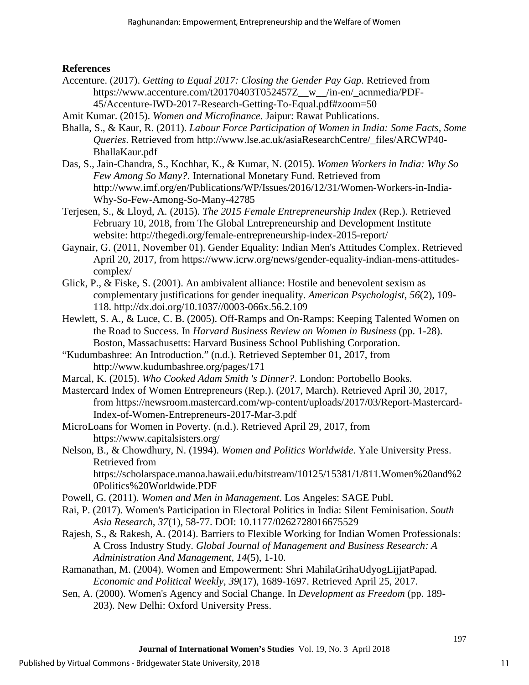### **References**

- Accenture. (2017). *Getting to Equal 2017: Closing the Gender Pay Gap*. Retrieved from https://www.accenture.com/t20170403T052457Z\_\_w\_\_/in-en/\_acnmedia/PDF-45/Accenture-IWD-2017-Research-Getting-To-Equal.pdf#zoom=50
- Amit Kumar. (2015). *Women and Microfinance*. Jaipur: Rawat Publications.
- Bhalla, S., & Kaur, R. (2011). *Labour Force Participation of Women in India: Some Facts, Some Queries*. Retrieved from http://www.lse.ac.uk/asiaResearchCentre/\_files/ARCWP40- BhallaKaur.pdf
- Das, S., Jain-Chandra, S., Kochhar, K., & Kumar, N. (2015). *Women Workers in India: Why So Few Among So Many?*. International Monetary Fund. Retrieved from http://www.imf.org/en/Publications/WP/Issues/2016/12/31/Women-Workers-in-India-Why-So-Few-Among-So-Many-42785
- Terjesen, S., & Lloyd, A. (2015). *The 2015 Female Entrepreneurship Index* (Rep.). Retrieved February 10, 2018, from The Global Entrepreneurship and Development Institute website: http://thegedi.org/female-entrepreneurship-index-2015-report/
- Gaynair, G. (2011, November 01). Gender Equality: Indian Men's Attitudes Complex. Retrieved April 20, 2017, from https://www.icrw.org/news/gender-equality-indian-mens-attitudescomplex/
- Glick, P., & Fiske, S. (2001). An ambivalent alliance: Hostile and benevolent sexism as complementary justifications for gender inequality. *American Psychologist*, *56*(2), 109- 118. http://dx.doi.org/10.1037//0003-066x.56.2.109
- Hewlett, S. A., & Luce, C. B. (2005). Off-Ramps and On-Ramps: Keeping Talented Women on the Road to Success. In *Harvard Business Review on Women in Business* (pp. 1-28). Boston, Massachusetts: Harvard Business School Publishing Corporation.
- "Kudumbashree: An Introduction." (n.d.). Retrieved September 01, 2017, from http://www.kudumbashree.org/pages/171
- Marcal, K. (2015). *Who Cooked Adam Smith 's Dinner?*. London: Portobello Books.
- Mastercard Index of Women Entrepreneurs (Rep.). (2017, March). Retrieved April 30, 2017, from [https://newsroom.mastercard.com/wp-content/uploads/2017/03/Report-Mastercard-](https://newsroom.mastercard.com/wp-content/uploads/2017/03/Report-Mastercard-Index-of-Women-Entrepreneurs-2017-Mar-3.pdf)[Index-of-Women-Entrepreneurs-2017-Mar-3.pdf](https://newsroom.mastercard.com/wp-content/uploads/2017/03/Report-Mastercard-Index-of-Women-Entrepreneurs-2017-Mar-3.pdf)
- MicroLoans for Women in Poverty. (n.d.). Retrieved April 29, 2017, from https://www.capitalsisters.org/
- Nelson, B., & Chowdhury, N. (1994). *Women and Politics Worldwide*. Yale University Press. Retrieved from

https://scholarspace.manoa.hawaii.edu/bitstream/10125/15381/1/811.Women%20and%2 0Politics%20Worldwide.PDF

- Powell, G. (2011). *Women and Men in Management*. Los Angeles: SAGE Publ.
- Rai, P. (2017). Women's Participation in Electoral Politics in India: Silent Feminisation. *South Asia Research, 37*(1), 58-77. DOI: 10.1177/0262728016675529
- Rajesh, S., & Rakesh, A. (2014). Barriers to Flexible Working for Indian Women Professionals: A Cross Industry Study. *Global Journal of Management and Business Research: A Administration And Management*, *14*(5), 1-10.
- Ramanathan, M. (2004). Women and Empowerment: Shri MahilaGrihaUdyogLijjatPapad. *Economic and Political Weekly, 39*(17), 1689-1697. Retrieved April 25, 2017.
- Sen, A. (2000). Women's Agency and Social Change. In *Development as Freedom* (pp. 189- 203). New Delhi: Oxford University Press.